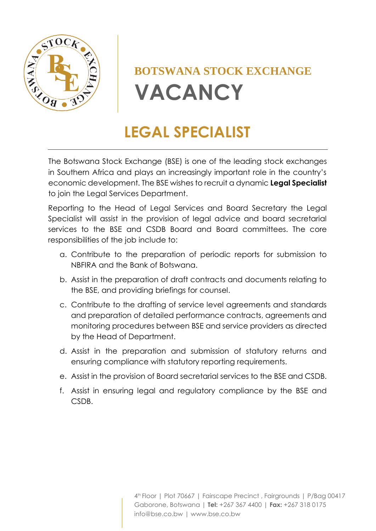

# **BOTSWANA STOCK EXCHANGE VACANCY**

## **LEGAL SPECIALIST**

The Botswana Stock Exchange (BSE) is one of the leading stock exchanges in Southern Africa and plays an increasingly important role in the country's economic development. The BSE wishes to recruit a dynamic **Legal Specialist** to join the Legal Services Department.

Reporting to the Head of Legal Services and Board Secretary the Legal Specialist will assist in the provision of legal advice and board secretarial services to the BSE and CSDB Board and Board committees. The core responsibilities of the job include to:

- a. Contribute to the preparation of periodic reports for submission to NBFIRA and the Bank of Botswana.
- b. Assist in the preparation of draft contracts and documents relating to the BSE, and providing briefings for counsel.
- c. Contribute to the drafting of service level agreements and standards and preparation of detailed performance contracts, agreements and monitoring procedures between BSE and service providers as directed by the Head of Department.
- d. Assist in the preparation and submission of statutory returns and ensuring compliance with statutory reporting requirements.
- e. Assist in the provision of Board secretarial services to the BSE and CSDB.
- f. Assist in ensuring legal and regulatory compliance by the BSE and CSDB.